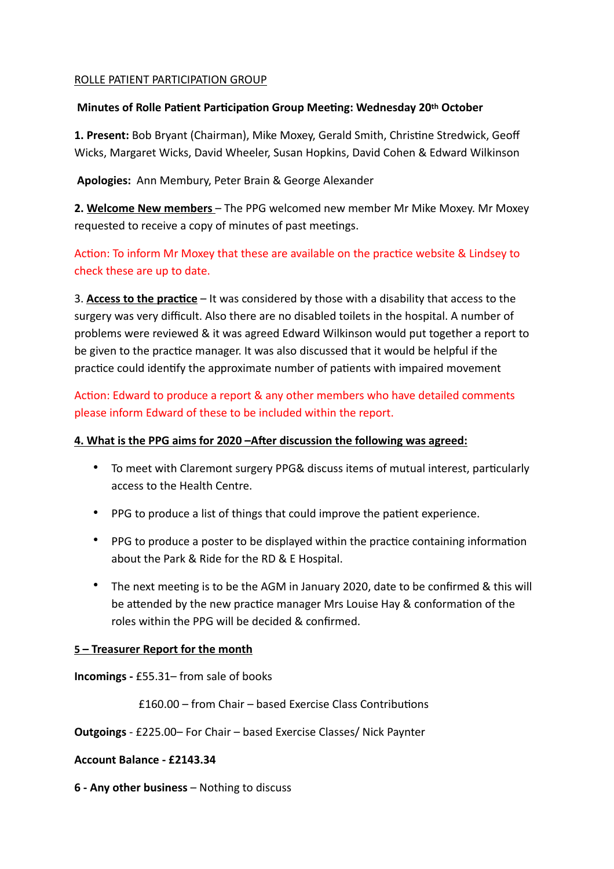## ROLLE PATIENT PARTICIPATION GROUP

## **Minutes of Rolle Patient Participation Group Meeting: Wednesday 20th October**

**1. Present:** Bob Bryant (Chairman), Mike Moxey, Gerald Smith, Christine Stredwick, Geoff Wicks, Margaret Wicks, David Wheeler, Susan Hopkins, David Cohen & Edward Wilkinson

 **Apologies:** Ann Membury, Peter Brain & George Alexander

**2. Welcome New members** – The PPG welcomed new member Mr Mike Moxey. Mr Moxey requested to receive a copy of minutes of past meetings.

Action: To inform Mr Moxey that these are available on the practice website & Lindsey to check these are up to date.

3. **Access to the practice** – It was considered by those with a disability that access to the surgery was very difficult. Also there are no disabled toilets in the hospital. A number of problems were reviewed & it was agreed Edward Wilkinson would put together a report to be given to the practice manager. It was also discussed that it would be helpful if the practice could identify the approximate number of patients with impaired movement

Action: Edward to produce a report & any other members who have detailed comments please inform Edward of these to be included within the report.

## **4. What is the PPG aims for 2020 –AFer discussion the following was agreed:**

- To meet with Claremont surgery PPG& discuss items of mutual interest, particularly access to the Health Centre.
- PPG to produce a list of things that could improve the patient experience.
- PPG to produce a poster to be displayed within the practice containing information about the Park & Ride for the RD & E Hospital.
- The next meeting is to be the AGM in January 2020, date to be confirmed & this will be attended by the new practice manager Mrs Louise Hay & conformation of the roles within the PPG will be decided & confirmed.

## **5 – Treasurer Report for the month**

**Incomings -** £55.31– from sale of books

**£160.00 – from Chair – based Exercise Class Contributions** 

**Outgoings** - £225.00– For Chair – based Exercise Classes/ Nick Paynter

## **Account Balance - £2143.34**

**6 - Any other business** – Nothing to discuss